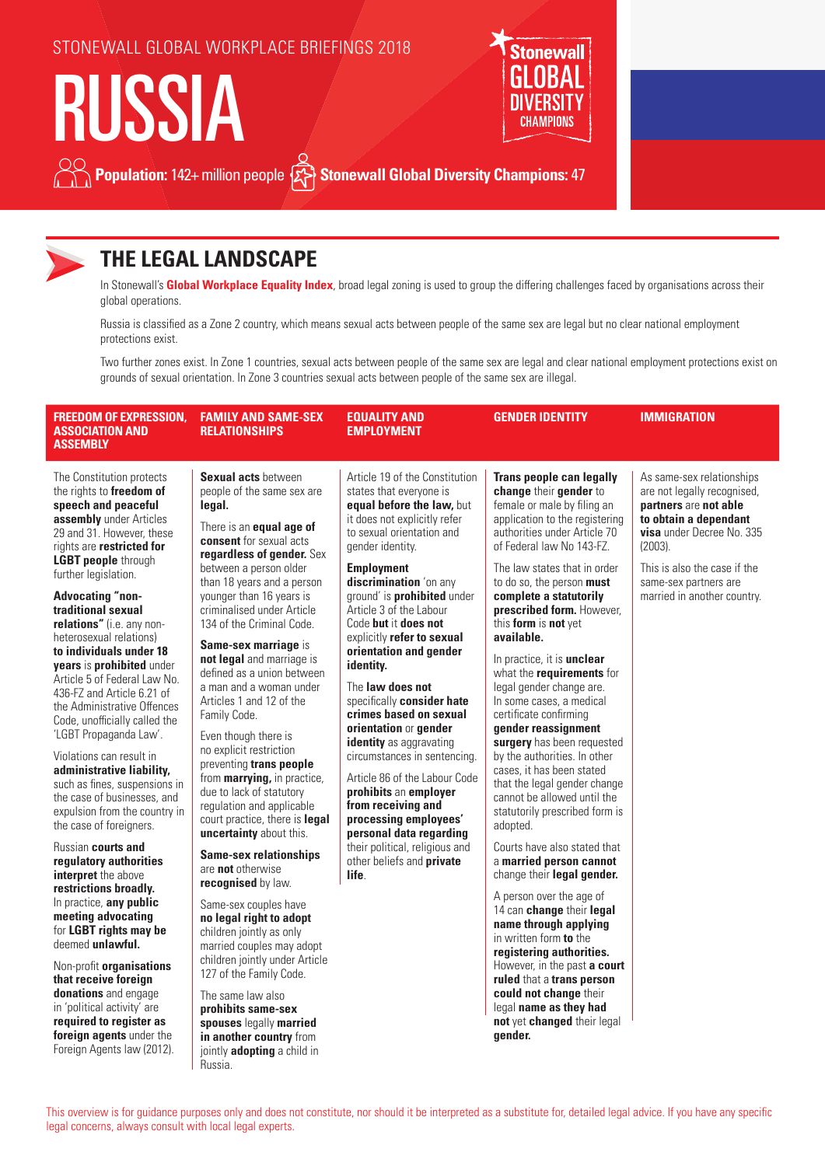### STONEWALL GLOBAL WORKPLACE BRIEFINGS 2018

# RUSSIA



# **Population:** 142+ million people  $\{x\}$  Stonewall Global Diversity Champions: 47



# **THE LEGAL LANDSCAPE**

In Stonewall's **Global Workplace Equality Index**, broad legal zoning is used to group the differing challenges faced by organisations across their global operations.

Russia is classified as a Zone 2 country, which means sexual acts between people of the same sex are legal but no clear national employment protections exist.

Two further zones exist. In Zone 1 countries, sexual acts between people of the same sex are legal and clear national employment protections exist on grounds of sexual orientation. In Zone 3 countries sexual acts between people of the same sex are illegal.

| <b>FREEDOM OF EXPRESSION,</b><br><b>ASSOCIATION AND</b><br>ASSEMBLY                                                                                                                                                                                                                                                                                                                                                                                                                                                                                                                                                                        | <b>FAMILY AND SAME-SEX</b><br><b>RELATIONSHIPS</b>                                                                                                                                                                                                                                                                                                                                                                                                                                                                                                                                  | <b>EQUALITY AND</b><br><b>EMPLOYMENT</b>                                                                                                                                                                                                                                                                                                                                                                                                                                                                                                                                                                                     | <b>GENDER IDENTITY</b>                                                                                                                                                                                                                                                                                                                                                                                                                                                                                                                                                                                                                                         | <b>IMMIGRATION</b>                                                                                                                                                                                                                                   |
|--------------------------------------------------------------------------------------------------------------------------------------------------------------------------------------------------------------------------------------------------------------------------------------------------------------------------------------------------------------------------------------------------------------------------------------------------------------------------------------------------------------------------------------------------------------------------------------------------------------------------------------------|-------------------------------------------------------------------------------------------------------------------------------------------------------------------------------------------------------------------------------------------------------------------------------------------------------------------------------------------------------------------------------------------------------------------------------------------------------------------------------------------------------------------------------------------------------------------------------------|------------------------------------------------------------------------------------------------------------------------------------------------------------------------------------------------------------------------------------------------------------------------------------------------------------------------------------------------------------------------------------------------------------------------------------------------------------------------------------------------------------------------------------------------------------------------------------------------------------------------------|----------------------------------------------------------------------------------------------------------------------------------------------------------------------------------------------------------------------------------------------------------------------------------------------------------------------------------------------------------------------------------------------------------------------------------------------------------------------------------------------------------------------------------------------------------------------------------------------------------------------------------------------------------------|------------------------------------------------------------------------------------------------------------------------------------------------------------------------------------------------------------------------------------------------------|
| The Constitution protects<br>the rights to freedom of<br>speech and peaceful<br>assembly under Articles<br>29 and 31. However, these<br>rights are restricted for<br><b>LGBT people through</b><br>further legislation.<br><b>Advocating "non-</b><br>traditional sexual<br>relations" (i.e. any non-<br>heterosexual relations)<br>to individuals under 18<br>years is prohibited under<br>Article 5 of Federal Law No.<br>436-FZ and Article 6.21 of<br>the Administrative Offences<br>Code, unofficially called the<br>'LGBT Propaganda Law'.<br>Violations can result in<br>administrative liability,<br>such as fines, suspensions in | Sexual acts between<br>people of the same sex are<br>legal.<br>There is an <b>equal age of</b><br><b>consent</b> for sexual acts<br>regardless of gender. Sex<br>between a person older<br>than 18 years and a person<br>younger than 16 years is<br>criminalised under Article<br>134 of the Criminal Code.<br>Same-sex marriage is<br>not legal and marriage is<br>defined as a union between<br>a man and a woman under<br>Articles 1 and 12 of the<br>Family Code.<br>Even though there is<br>no explicit restriction<br>preventing trans people<br>from marrying, in practice, | Article 19 of the Constitution<br>states that everyone is<br>equal before the law, but<br>it does not explicitly refer<br>to sexual orientation and<br>gender identity.<br><b>Employment</b><br>discrimination 'on any<br>ground' is <b>prohibited</b> under<br>Article 3 of the Labour<br>Code but it does not<br>explicitly refer to sexual<br>orientation and gender<br>identity.<br>The <b>law does not</b><br>specifically <b>consider hate</b><br>crimes based on sexual<br>orientation or gender<br>identity as aggravating<br>circumstances in sentencing.<br>Article 86 of the Labour Code<br>prohibits an employer | <b>Trans people can legally</b><br>change their gender to<br>female or male by filing an<br>application to the registering<br>authorities under Article 70<br>of Federal law No 143-FZ.<br>The law states that in order<br>to do so, the person must<br>complete a statutorily<br>prescribed form. However,<br>this form is not yet<br>available.<br>In practice, it is <b>unclear</b><br>what the <i>requirements</i> for<br>legal gender change are.<br>In some cases, a medical<br>certificate confirming<br>gender reassignment<br>surgery has been requested<br>by the authorities. In other<br>cases, it has been stated<br>that the legal gender change | As same-sex relationships<br>are not legally recognised,<br>partners are not able<br>to obtain a dependant<br><b>visa</b> under Decree No. 335<br>$(2003)$ .<br>This is also the case if the<br>same-sex partners are<br>married in another country. |
| the case of businesses, and<br>expulsion from the country in<br>the case of foreigners.                                                                                                                                                                                                                                                                                                                                                                                                                                                                                                                                                    | due to lack of statutory<br>regulation and applicable<br>court practice, there is legal<br>uncertainty about this.                                                                                                                                                                                                                                                                                                                                                                                                                                                                  | from receiving and<br>processing employees'<br>personal data regarding                                                                                                                                                                                                                                                                                                                                                                                                                                                                                                                                                       | cannot be allowed until the<br>statutorily prescribed form is<br>adopted.                                                                                                                                                                                                                                                                                                                                                                                                                                                                                                                                                                                      |                                                                                                                                                                                                                                                      |
| Russian <b>courts and</b><br>regulatory authorities<br>interpret the above                                                                                                                                                                                                                                                                                                                                                                                                                                                                                                                                                                 | <b>Same-sex relationships</b><br>are <b>not</b> otherwise<br>recognised by law.                                                                                                                                                                                                                                                                                                                                                                                                                                                                                                     | their political, religious and<br>other beliefs and private<br>life.                                                                                                                                                                                                                                                                                                                                                                                                                                                                                                                                                         | Courts have also stated that<br>a married person cannot<br>change their legal gender.                                                                                                                                                                                                                                                                                                                                                                                                                                                                                                                                                                          |                                                                                                                                                                                                                                                      |
| restrictions broadly.<br>In practice, any public<br>meeting advocating<br>for LGBT rights may be<br>deemed unlawful.<br>Non-profit organisations<br>that receive foreign<br>donations and engage<br>in 'political activity' are<br>required to register as<br>foreign agents under the<br>Foreign Agents law (2012).                                                                                                                                                                                                                                                                                                                       | Same-sex couples have<br>no legal right to adopt<br>children jointly as only<br>married couples may adopt<br>children jointly under Article<br>127 of the Family Code.<br>The same law also<br>prohibits same-sex<br>spouses legally married<br>in another country from<br>jointly adopting a child in<br>Russia.                                                                                                                                                                                                                                                                   |                                                                                                                                                                                                                                                                                                                                                                                                                                                                                                                                                                                                                              | A person over the age of<br>14 can change their legal<br>name through applying<br>in written form to the<br>registering authorities.<br>However, in the past a court<br>ruled that a trans person<br>could not change their<br>legal name as they had<br>not yet changed their legal<br>gender.                                                                                                                                                                                                                                                                                                                                                                |                                                                                                                                                                                                                                                      |

This overview is for guidance purposes only and does not constitute, nor should it be interpreted as a substitute for, detailed legal advice. If you have any specific legal concerns, always consult with local legal experts.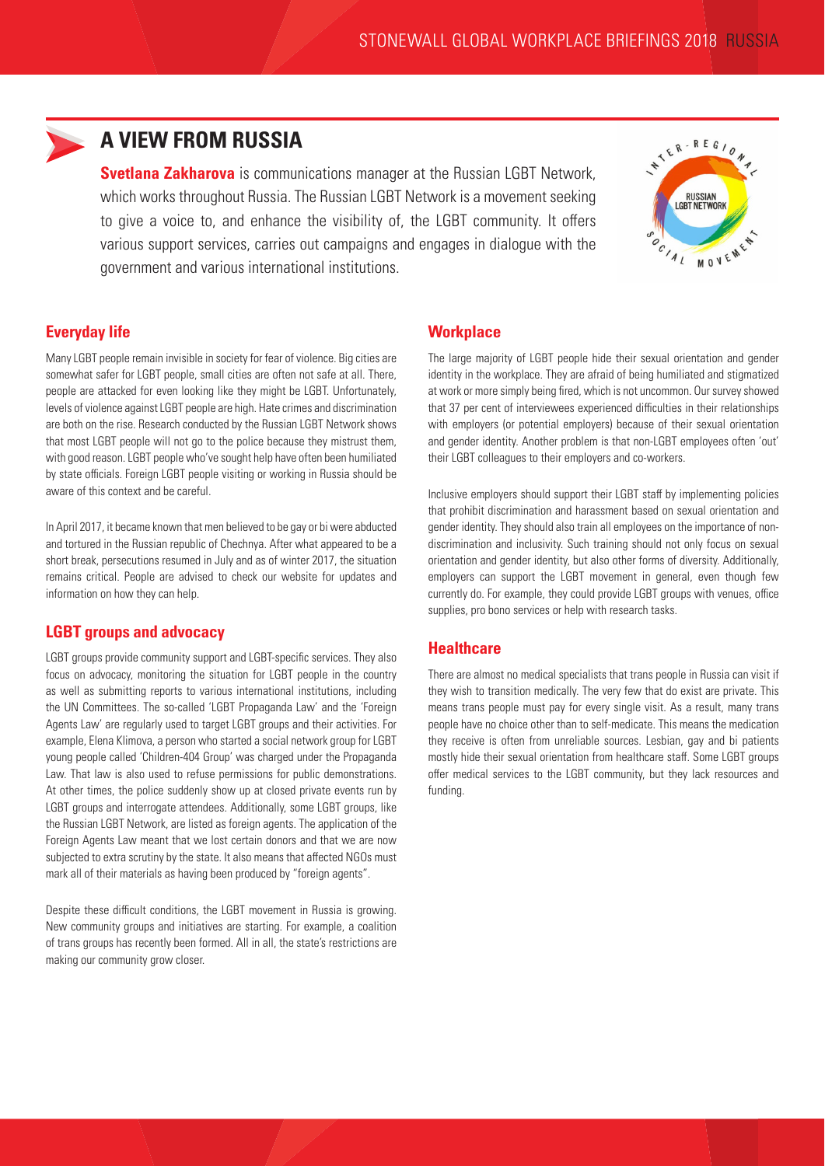

# **A VIEW FROM RUSSIA**

**Svetlana Zakharova** is communications manager at the Russian LGBT Network, which works throughout Russia. The Russian LGBT Network is a movement seeking to give a voice to, and enhance the visibility of, the LGBT community. It offers various support services, carries out campaigns and engages in dialogue with the government and various international institutions.



#### **Everyday life**

Many LGBT people remain invisible in society for fear of violence. Big cities are somewhat safer for LGBT people, small cities are often not safe at all. There, people are attacked for even looking like they might be LGBT. Unfortunately, levels of violence against LGBT people are high. Hate crimes and discrimination are both on the rise. Research conducted by the Russian LGBT Network shows that most LGBT people will not go to the police because they mistrust them, with good reason. LGBT people who've sought help have often been humiliated by state officials. Foreign LGBT people visiting or working in Russia should be aware of this context and be careful.

In April 2017, it became known that men believed to be gay or bi were abducted and tortured in the Russian republic of Chechnya. After what appeared to be a short break, persecutions resumed in July and as of winter 2017, the situation remains critical. People are advised to check our website for updates and information on how they can help.

#### **LGBT groups and advocacy**

LGBT groups provide community support and LGBT-specific services. They also focus on advocacy, monitoring the situation for LGBT people in the country as well as submitting reports to various international institutions, including the UN Committees. The so-called 'LGBT Propaganda Law' and the 'Foreign Agents Law' are regularly used to target LGBT groups and their activities. For example, Elena Klimova, a person who started a social network group for LGBT young people called 'Children-404 Group' was charged under the Propaganda Law. That law is also used to refuse permissions for public demonstrations. At other times, the police suddenly show up at closed private events run by LGBT groups and interrogate attendees. Additionally, some LGBT groups, like the Russian LGBT Network, are listed as foreign agents. The application of the Foreign Agents Law meant that we lost certain donors and that we are now subjected to extra scrutiny by the state. It also means that affected NGOs must mark all of their materials as having been produced by "foreign agents".

Despite these difficult conditions, the LGBT movement in Russia is growing. New community groups and initiatives are starting. For example, a coalition of trans groups has recently been formed. All in all, the state's restrictions are making our community grow closer.

#### **Workplace**

The large majority of LGBT people hide their sexual orientation and gender identity in the workplace. They are afraid of being humiliated and stigmatized at work or more simply being fired, which is not uncommon. Our survey showed that 37 per cent of interviewees experienced difficulties in their relationships with employers (or potential employers) because of their sexual orientation and gender identity. Another problem is that non-LGBT employees often 'out' their LGBT colleagues to their employers and co-workers.

Inclusive employers should support their LGBT staff by implementing policies that prohibit discrimination and harassment based on sexual orientation and gender identity. They should also train all employees on the importance of nondiscrimination and inclusivity. Such training should not only focus on sexual orientation and gender identity, but also other forms of diversity. Additionally, employers can support the LGBT movement in general, even though few currently do. For example, they could provide LGBT groups with venues, office supplies, pro bono services or help with research tasks.

#### **Healthcare**

There are almost no medical specialists that trans people in Russia can visit if they wish to transition medically. The very few that do exist are private. This means trans people must pay for every single visit. As a result, many trans people have no choice other than to self-medicate. This means the medication they receive is often from unreliable sources. Lesbian, gay and bi patients mostly hide their sexual orientation from healthcare staff. Some LGBT groups offer medical services to the LGBT community, but they lack resources and funding.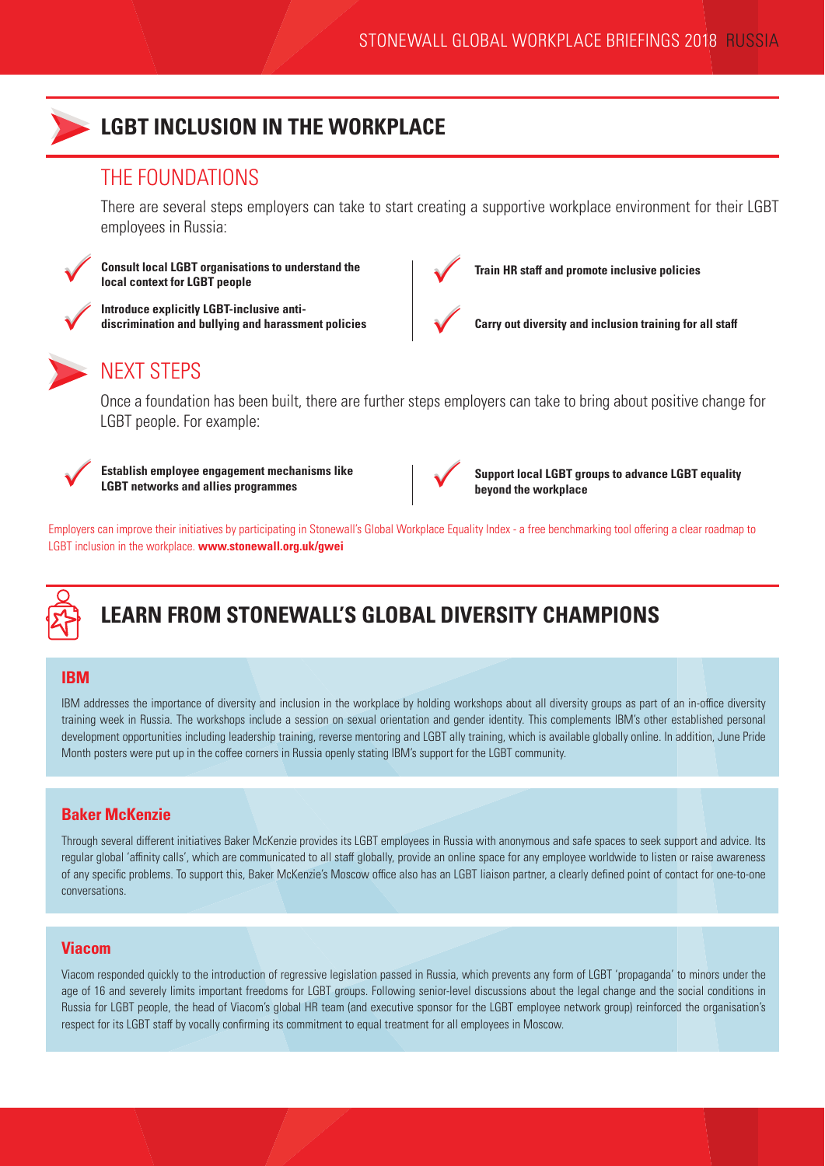

### **LGBT INCLUSION IN THE WORKPLACE**

### THE FOUNDATIONS

There are several steps employers can take to start creating a supportive workplace environment for their LGBT employees in Russia:



 $\checkmark$ 

 $\checkmark$ 

**Consult local LGBT organisations to understand the local context for LGBT people**

**Introduce explicitly LGBT-inclusive antidiscrimination and bullying and harassment policies**



**Train HR staff and promote inclusive policies**



**Carry out diversity and inclusion training for all staff**

# NEXT STEPS

Once a foundation has been built, there are further steps employers can take to bring about positive change for LGBT people. For example:



**Establish employee engagement mechanisms like**<br> **LGBT networks and allies programmes LGBT networks and allies programmes**



**Support local LGBT groups to advance LGBT equality beyond the workplace**

Employers can improve their initiatives by participating in Stonewall's Global Workplace Equality Index - a free benchmarking tool offering a clear roadmap to LGBT inclusion in the workplace. **www.stonewall.org.uk/gwei**



# **LEARN FROM STONEWALL'S GLOBAL DIVERSITY CHAMPIONS**

#### **IBM**

IBM addresses the importance of diversity and inclusion in the workplace by holding workshops about all diversity groups as part of an in-office diversity training week in Russia. The workshops include a session on sexual orientation and gender identity. This complements IBM's other established personal development opportunities including leadership training, reverse mentoring and LGBT ally training, which is available globally online. In addition, June Pride Month posters were put up in the coffee corners in Russia openly stating IBM's support for the LGBT community.

#### **Baker McKenzie**

Through several different initiatives Baker McKenzie provides its LGBT employees in Russia with anonymous and safe spaces to seek support and advice. Its regular global 'affinity calls', which are communicated to all staff globally, provide an online space for any employee worldwide to listen or raise awareness of any specific problems. To support this, Baker McKenzie's Moscow office also has an LGBT liaison partner, a clearly defined point of contact for one-to-one conversations.

#### **Viacom**

Viacom responded quickly to the introduction of regressive legislation passed in Russia, which prevents any form of LGBT 'propaganda' to minors under the age of 16 and severely limits important freedoms for LGBT groups. Following senior-level discussions about the legal change and the social conditions in Russia for LGBT people, the head of Viacom's global HR team (and executive sponsor for the LGBT employee network group) reinforced the organisation's respect for its LGBT staff by vocally confirming its commitment to equal treatment for all employees in Moscow.